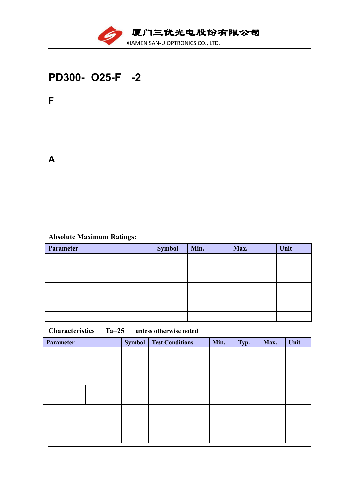

 $\overline{a}$ 

 $\frac{1}{2}$ 

 $\sim$ 

 $\equiv$ 

## **PD300- O25-F -2**

J.

**F** :

**A** :

## **Absolute Maximum Ratings:**

| Parameter | <b>Symbol</b> | Min. | Max. | Unit |
|-----------|---------------|------|------|------|
|           |               |      |      |      |
|           |               |      |      |      |
|           |               |      |      |      |
|           |               |      |      |      |
|           |               |      |      |      |
|           |               |      |      |      |
|           |               |      |      |      |

## **Characteristics**:(**Ta=25**℃ **unless otherwise noted**)

| Parameter | <b>Symbol</b> | <b>Test Conditions</b> | Min. | Typ. | Max. | Unit |
|-----------|---------------|------------------------|------|------|------|------|
|           |               |                        |      |      |      |      |
|           |               |                        |      |      |      |      |
|           |               |                        |      |      |      |      |
|           |               |                        |      |      |      |      |
|           |               |                        |      |      |      |      |
|           |               |                        |      |      |      |      |
|           |               |                        |      |      |      |      |
|           |               |                        |      |      |      |      |
|           |               |                        |      |      |      |      |
|           |               |                        |      |      |      |      |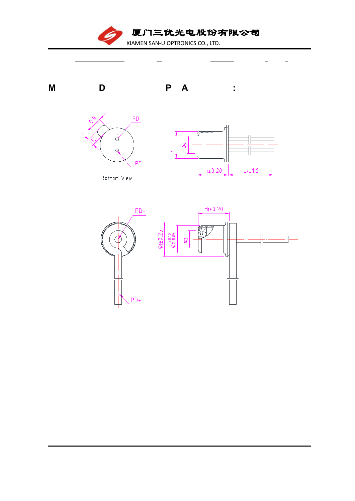